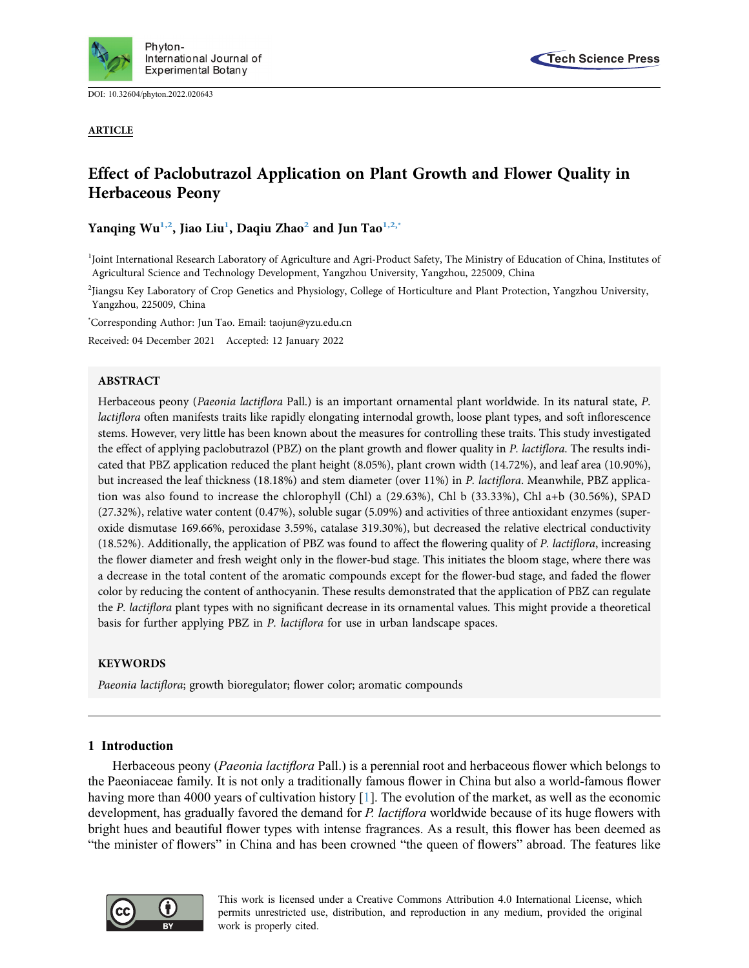

DOI: [10.32604/phyton.2022.020643](http://dx.doi.org/10.32604/phyton.2022.020643)

ARTICLE



# Effect of Paclobutrazol Application on Plant Growth and Flower Quality in Herbaceous Peony

Yanqing Wu<sup>[1,](#page-0-0)2</sup>, Jiao Liu<sup>1</sup>, Daqiu Zhao<sup>2</sup> and Jun Tao<sup>1,[2,](#page-0-1)\*</sup>

<span id="page-0-0"></span><sup>1</sup>Joint International Research Laboratory of Agriculture and Agri-Product Safety, The Ministry of Education of China, Institutes of Agricultural Science and Technology Development, Yangzhou University, Yangzhou, 225009, China

<span id="page-0-1"></span>2 Jiangsu Key Laboratory of Crop Genetics and Physiology, College of Horticulture and Plant Protection, Yangzhou University, Yangzhou, 225009, China

<span id="page-0-2"></span>\* Corresponding Author: Jun Tao. Email: [taojun@yzu.edu.cn](mailto:taojun@yzu.edu.cn)

Received: 04 December 2021 Accepted: 12 January 2022

## ABSTRACT

Herbaceous peony (Paeonia lactiflora Pall.) is an important ornamental plant worldwide. In its natural state, P. lactiflora often manifests traits like rapidly elongating internodal growth, loose plant types, and soft inflorescence stems. However, very little has been known about the measures for controlling these traits. This study investigated the effect of applying paclobutrazol (PBZ) on the plant growth and flower quality in P. lactiflora. The results indicated that PBZ application reduced the plant height (8.05%), plant crown width (14.72%), and leaf area (10.90%), but increased the leaf thickness (18.18%) and stem diameter (over 11%) in P. lactiflora. Meanwhile, PBZ application was also found to increase the chlorophyll (Chl) a (29.63%), Chl b (33.33%), Chl a+b (30.56%), SPAD (27.32%), relative water content (0.47%), soluble sugar (5.09%) and activities of three antioxidant enzymes (superoxide dismutase 169.66%, peroxidase 3.59%, catalase 319.30%), but decreased the relative electrical conductivity (18.52%). Additionally, the application of PBZ was found to affect the flowering quality of P. lactiflora, increasing the flower diameter and fresh weight only in the flower-bud stage. This initiates the bloom stage, where there was a decrease in the total content of the aromatic compounds except for the flower-bud stage, and faded the flower color by reducing the content of anthocyanin. These results demonstrated that the application of PBZ can regulate the P. lactiflora plant types with no significant decrease in its ornamental values. This might provide a theoretical basis for further applying PBZ in P. lactiflora for use in urban landscape spaces.

# KEYWORDS

Paeonia lactiflora; growth bioregulator; flower color; aromatic compounds

# 1 Introduction

Herbaceous peony (Paeonia lactiflora Pall.) is a perennial root and herbaceous flower which belongs to the Paeoniaceae family. It is not only a traditionally famous flower in China but also a world-famous flower having more than 4000 years of cultivation history [\[1\]](#page-10-0). The evolution of the market, as well as the economic development, has gradually favored the demand for P. lactiflora worldwide because of its huge flowers with bright hues and beautiful flower types with intense fragrances. As a result, this flower has been deemed as "the minister of flowers" in China and has been crowned "the queen of flowers" abroad. The features like



This work is licensed under a Creative Commons Attribution 4.0 International License, which permits unrestricted use, distribution, and reproduction in any medium, provided the original work is properly cited.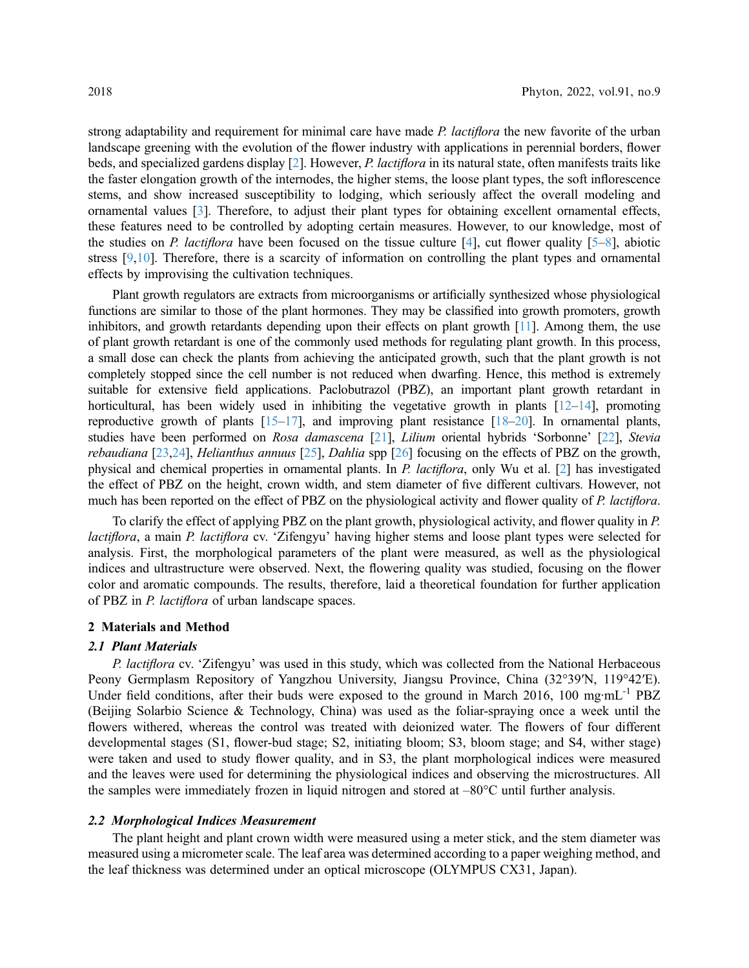strong adaptability and requirement for minimal care have made P. lactiflora the new favorite of the urban landscape greening with the evolution of the flower industry with applications in perennial borders, flower beds, and specialized gardens display [\[2\]](#page-10-1). However, P. lactiflora in its natural state, often manifests traits like the faster elongation growth of the internodes, the higher stems, the loose plant types, the soft inflorescence stems, and show increased susceptibility to lodging, which seriously affect the overall modeling and ornamental values [\[3\]](#page-10-2). Therefore, to adjust their plant types for obtaining excellent ornamental effects, these features need to be controlled by adopting certain measures. However, to our knowledge, most of the studies on P. lactiflora have been focused on the tissue culture [[4](#page-10-3)], cut flower quality  $[5-8]$  $[5-8]$  $[5-8]$  $[5-8]$  $[5-8]$ , abiotic stress [[9](#page-11-2),[10\]](#page-11-3). Therefore, there is a scarcity of information on controlling the plant types and ornamental effects by improvising the cultivation techniques.

Plant growth regulators are extracts from microorganisms or artificially synthesized whose physiological functions are similar to those of the plant hormones. They may be classified into growth promoters, growth inhibitors, and growth retardants depending upon their effects on plant growth [\[11\]](#page-11-4). Among them, the use of plant growth retardant is one of the commonly used methods for regulating plant growth. In this process, a small dose can check the plants from achieving the anticipated growth, such that the plant growth is not completely stopped since the cell number is not reduced when dwarfing. Hence, this method is extremely suitable for extensive field applications. Paclobutrazol (PBZ), an important plant growth retardant in horticultural, has been widely used in inhibiting the vegetative growth in plants  $[12-14]$  $[12-14]$  $[12-14]$  $[12-14]$  $[12-14]$ , promoting reproductive growth of plants  $[15-17]$  $[15-17]$  $[15-17]$  $[15-17]$ , and improving plant resistance  $[18-20]$  $[18-20]$  $[18-20]$ . In ornamental plants, studies have been performed on Rosa damascena [\[21\]](#page-11-11), Lilium oriental hybrids 'Sorbonne' [\[22\]](#page-12-0), Stevia rebaudiana [[23](#page-12-1)[,24\]](#page-12-2), Helianthus annuus [[25](#page-12-3)], Dahlia spp [\[26\]](#page-12-4) focusing on the effects of PBZ on the growth, physical and chemical properties in ornamental plants. In P. lactiflora, only Wu et al. [[2](#page-10-1)] has investigated the effect of PBZ on the height, crown width, and stem diameter of five different cultivars. However, not much has been reported on the effect of PBZ on the physiological activity and flower quality of P. lactiflora.

To clarify the effect of applying PBZ on the plant growth, physiological activity, and flower quality in P. lactiflora, a main P. lactiflora cv. 'Zifengyu' having higher stems and loose plant types were selected for analysis. First, the morphological parameters of the plant were measured, as well as the physiological indices and ultrastructure were observed. Next, the flowering quality was studied, focusing on the flower color and aromatic compounds. The results, therefore, laid a theoretical foundation for further application of PBZ in P. lactiflora of urban landscape spaces.

# 2 Materials and Method

## 2.1 Plant Materials

P. *lactiflora* cv. 'Zifengyu' was used in this study, which was collected from the National Herbaceous Peony Germplasm Repository of Yangzhou University, Jiangsu Province, China (32°39′N, 119°42′E). Under field conditions, after their buds were exposed to the ground in March 2016, 100 mg·mL<sup>-1</sup> PBZ (Beijing Solarbio Science & Technology, China) was used as the foliar-spraying once a week until the flowers withered, whereas the control was treated with deionized water. The flowers of four different developmental stages (S1, flower-bud stage; S2, initiating bloom; S3, bloom stage; and S4, wither stage) were taken and used to study flower quality, and in S3, the plant morphological indices were measured and the leaves were used for determining the physiological indices and observing the microstructures. All the samples were immediately frozen in liquid nitrogen and stored at –80°C until further analysis.

## 2.2 Morphological Indices Measurement

The plant height and plant crown width were measured using a meter stick, and the stem diameter was measured using a micrometer scale. The leaf area was determined according to a paper weighing method, and the leaf thickness was determined under an optical microscope (OLYMPUS CX31, Japan).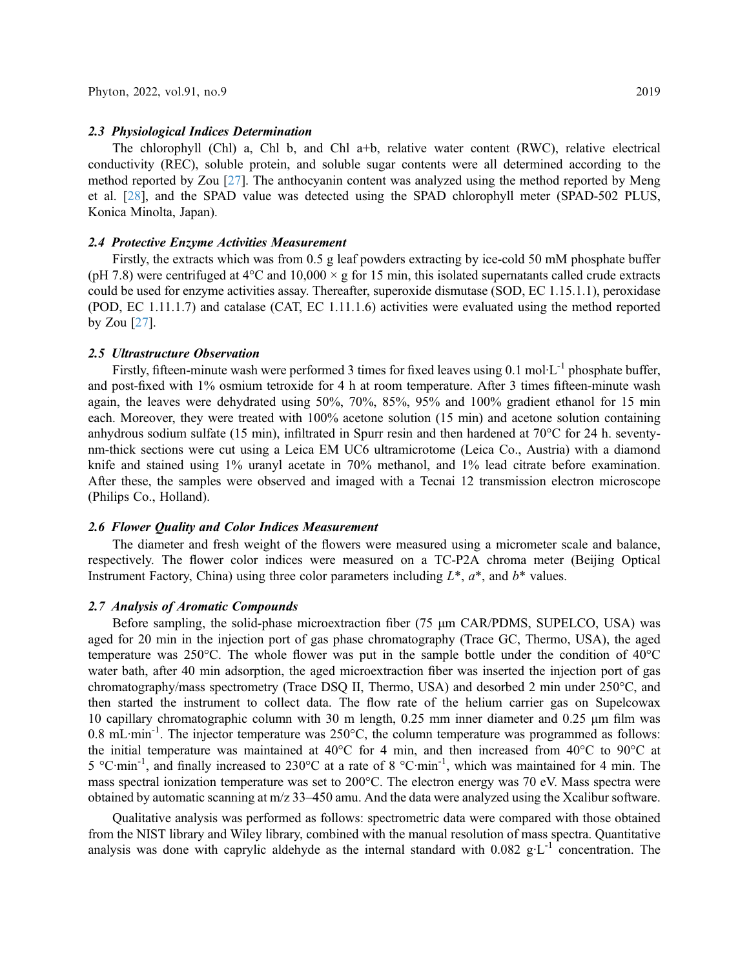#### 2.3 Physiological Indices Determination

The chlorophyll (Chl) a, Chl b, and Chl a+b, relative water content (RWC), relative electrical conductivity (REC), soluble protein, and soluble sugar contents were all determined according to the method reported by Zou [\[27](#page-12-5)]. The anthocyanin content was analyzed using the method reported by Meng et al. [\[28](#page-12-6)], and the SPAD value was detected using the SPAD chlorophyll meter (SPAD-502 PLUS, Konica Minolta, Japan).

# 2.4 Protective Enzyme Activities Measurement

Firstly, the extracts which was from 0.5 g leaf powders extracting by ice-cold 50 mM phosphate buffer (pH 7.8) were centrifuged at  $4^{\circ}$ C and  $10,000 \times g$  for 15 min, this isolated supernatants called crude extracts could be used for enzyme activities assay. Thereafter, superoxide dismutase (SOD, EC 1.15.1.1), peroxidase (POD, EC 1.11.1.7) and catalase (CAT, EC 1.11.1.6) activities were evaluated using the method reported by Zou [[27\]](#page-12-5).

#### 2.5 Ultrastructure Observation

Firstly, fifteen-minute wash were performed 3 times for fixed leaves using 0.1 mol·L<sup>-1</sup> phosphate buffer, and post-fixed with 1% osmium tetroxide for 4 h at room temperature. After 3 times fifteen-minute wash again, the leaves were dehydrated using 50%, 70%, 85%, 95% and 100% gradient ethanol for 15 min each. Moreover, they were treated with 100% acetone solution (15 min) and acetone solution containing anhydrous sodium sulfate (15 min), infiltrated in Spurr resin and then hardened at 70°C for 24 h. seventynm-thick sections were cut using a Leica EM UC6 ultramicrotome (Leica Co., Austria) with a diamond knife and stained using 1% uranyl acetate in 70% methanol, and 1% lead citrate before examination. After these, the samples were observed and imaged with a Tecnai 12 transmission electron microscope (Philips Co., Holland).

## 2.6 Flower Quality and Color Indices Measurement

The diameter and fresh weight of the flowers were measured using a micrometer scale and balance, respectively. The flower color indices were measured on a TC-P2A chroma meter (Beijing Optical Instrument Factory, China) using three color parameters including  $L^*, a^*$ , and  $b^*$  values.

# 2.7 Analysis of Aromatic Compounds

Before sampling, the solid-phase microextraction fiber (75 μm CAR/PDMS, SUPELCO, USA) was aged for 20 min in the injection port of gas phase chromatography (Trace GC, Thermo, USA), the aged temperature was 250 $^{\circ}$ C. The whole flower was put in the sample bottle under the condition of 40 $^{\circ}$ C water bath, after 40 min adsorption, the aged microextraction fiber was inserted the injection port of gas chromatography/mass spectrometry (Trace DSQ II, Thermo, USA) and desorbed 2 min under 250°C, and then started the instrument to collect data. The flow rate of the helium carrier gas on Supelcowax 10 capillary chromatographic column with 30 m length, 0.25 mm inner diameter and 0.25 μm film was 0.8 mL $\cdot$ min<sup>-1</sup>. The injector temperature was 250 $\degree$ C, the column temperature was programmed as follows: the initial temperature was maintained at 40°C for 4 min, and then increased from 40°C to 90°C at 5 °C·min-1, and finally increased to 230°C at a rate of 8 °C·min-1, which was maintained for 4 min. The mass spectral ionization temperature was set to 200°C. The electron energy was 70 eV. Mass spectra were obtained by automatic scanning at m/z 33–450 amu. And the data were analyzed using the Xcalibur software.

Qualitative analysis was performed as follows: spectrometric data were compared with those obtained from the NIST library and Wiley library, combined with the manual resolution of mass spectra. Quantitative analysis was done with caprylic aldehyde as the internal standard with  $0.082 \text{ g} \cdot \text{L}^{-1}$  concentration. The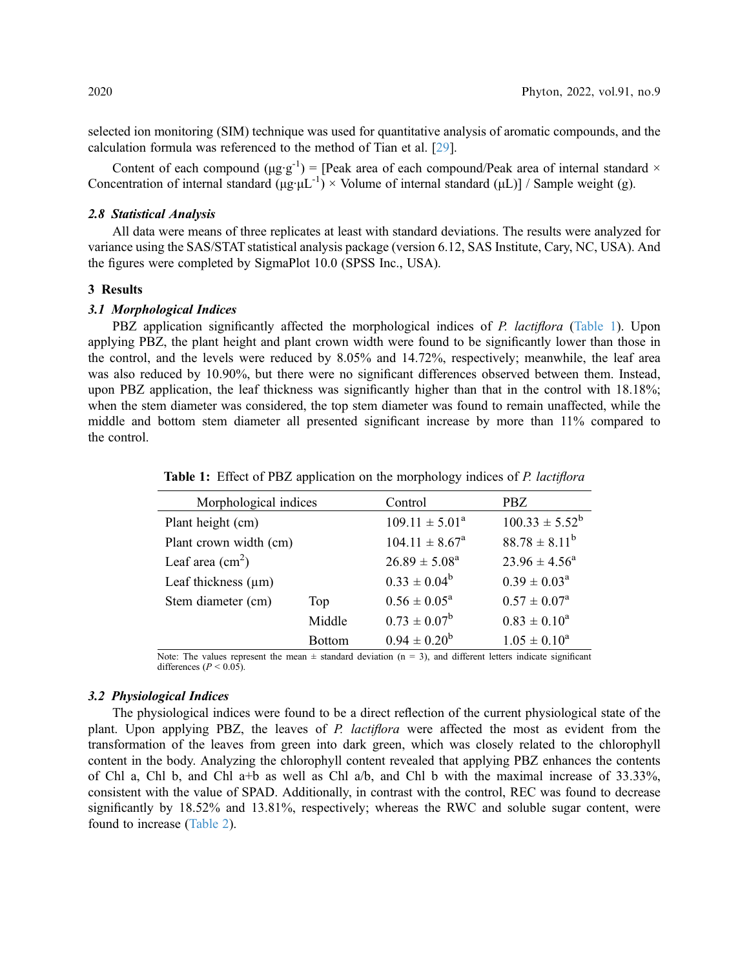selected ion monitoring (SIM) technique was used for quantitative analysis of aromatic compounds, and the calculation formula was referenced to the method of Tian et al. [[29\]](#page-12-7).

Content of each compound  $(\mu g \cdot g^{-1})$  = [Peak area of each compound/Peak area of internal standard  $\times$ Concentration of internal standard  $(\mu g \cdot \mu L^{-1}) \times$  Volume of internal standard  $(\mu L)$ ] / Sample weight (g).

## 2.8 Statistical Analysis

All data were means of three replicates at least with standard deviations. The results were analyzed for variance using the SAS/STAT statistical analysis package (version 6.12, SAS Institute, Cary, NC, USA). And the figures were completed by SigmaPlot 10.0 (SPSS Inc., USA).

#### 3 Results

# 3.1 Morphological Indices

PBZ application significantly affected the morphological indices of P. *lactiflora* [\(Table 1](#page-3-0)). Upon applying PBZ, the plant height and plant crown width were found to be significantly lower than those in the control, and the levels were reduced by 8.05% and 14.72%, respectively; meanwhile, the leaf area was also reduced by 10.90%, but there were no significant differences observed between them. Instead, upon PBZ application, the leaf thickness was significantly higher than that in the control with 18.18%; when the stem diameter was considered, the top stem diameter was found to remain unaffected, while the middle and bottom stem diameter all presented significant increase by more than 11% compared to the control.

| Morphological indices            |               | Control                   | PBZ                     |  |
|----------------------------------|---------------|---------------------------|-------------------------|--|
| Plant height (cm)                |               | $109.11 \pm 5.01^a$       | $100.33 \pm 5.52^b$     |  |
| Plant crown width (cm)           |               | $104.11 \pm 8.67^{\circ}$ | $88.78 \pm 8.11^b$      |  |
| Leaf area $\text{(cm}^2\text{)}$ |               | $26.89 \pm 5.08^{\rm a}$  | $23.96 \pm 4.56^a$      |  |
| Leaf thickness $(\mu m)$         |               | $0.33 \pm 0.04^b$         | $0.39 \pm 0.03^{\rm a}$ |  |
| Stem diameter (cm)               | Top           |                           | $0.57 \pm 0.07^{\rm a}$ |  |
|                                  | Middle        | $0.73 \pm 0.07^b$         | $0.83 \pm 0.10^a$       |  |
|                                  | <b>Bottom</b> | $0.94 \pm 0.20^b$         | $1.05 \pm 0.10^a$       |  |

<span id="page-3-0"></span>Table 1: Effect of PBZ application on the morphology indices of P. lactiflora

Note: The values represent the mean  $\pm$  standard deviation (n = 3), and different letters indicate significant differences ( $P < 0.05$ ).

#### 3.2 Physiological Indices

The physiological indices were found to be a direct reflection of the current physiological state of the plant. Upon applying PBZ, the leaves of P. lactiflora were affected the most as evident from the transformation of the leaves from green into dark green, which was closely related to the chlorophyll content in the body. Analyzing the chlorophyll content revealed that applying PBZ enhances the contents of Chl a, Chl b, and Chl a+b as well as Chl a/b, and Chl b with the maximal increase of 33.33%, consistent with the value of SPAD. Additionally, in contrast with the control, REC was found to decrease significantly by 18.52% and 13.81%, respectively; whereas the RWC and soluble sugar content, were found to increase ([Table 2](#page-4-0)).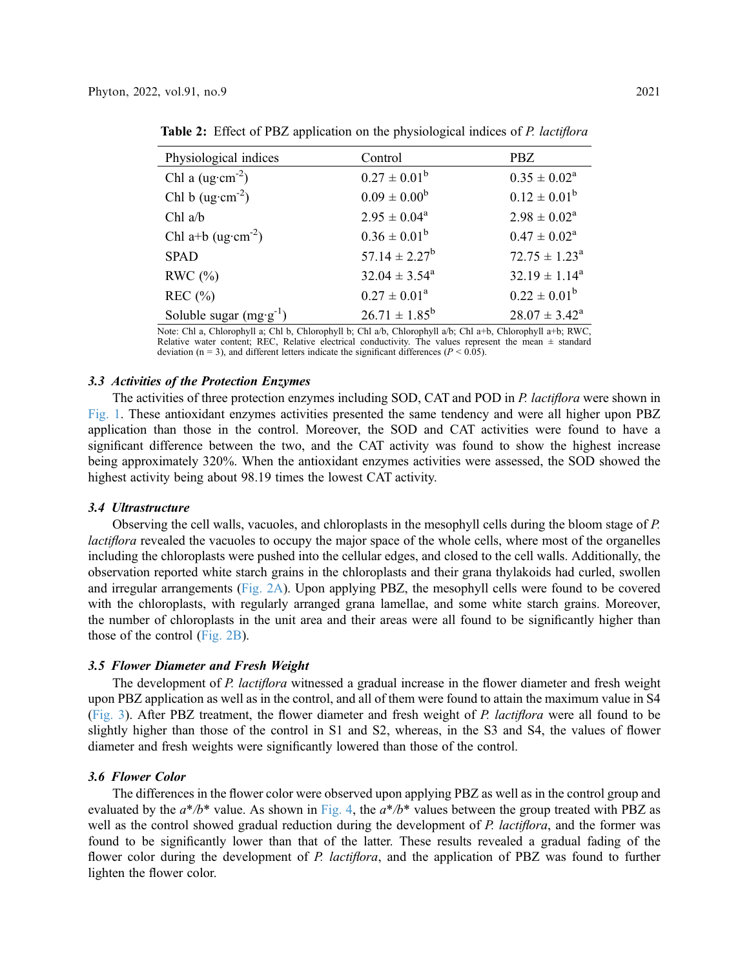| Physiological indices             | Control                  | PBZ.                        |
|-----------------------------------|--------------------------|-----------------------------|
| Chl a $(ug \cdot cm^{-2})$        | $0.27 \pm 0.01^b$        | $0.35 \pm 0.02^a$           |
| Chl b $(ug·cm-2)$                 | $0.09 \pm 0.00^{\rm b}$  | $0.12 \pm 0.01^{\rm b}$     |
| $Chl$ a/b                         | $2.95 \pm 0.04^a$        | $2.98 \pm 0.02^a$           |
| Chl a+b (ug·cm <sup>-2</sup> )    | $0.36 \pm 0.01^b$        | $0.47 \pm 0.02^a$           |
| <b>SPAD</b>                       | $57.14 \pm 2.27^b$       | $72.75 \pm 1.23^{\text{a}}$ |
| RWC $(\%)$                        | $32.04 \pm 3.54^{\circ}$ | $32.19 \pm 1.14^a$          |
| REC $(\% )$                       | $0.27 \pm 0.01^a$        | $0.22 \pm 0.01^b$           |
| Soluble sugar $(mg \cdot g^{-1})$ | $26.71 \pm 1.85^b$       | $28.07 \pm 3.42^{\rm a}$    |

<span id="page-4-0"></span>Table 2: Effect of PBZ application on the physiological indices of P. lactiflora

Note: Chl a, Chlorophyll a; Chl b, Chlorophyll b; Chl a/b, Chlorophyll a/b; Chl a+b, Chlorophyll a+b; RWC, Relative water content; REC, Relative electrical conductivity. The values represent the mean  $\pm$  standard deviation ( $n = 3$ ), and different letters indicate the significant differences ( $P < 0.05$ ).

#### 3.3 Activities of the Protection Enzymes

The activities of three protection enzymes including SOD, CAT and POD in P. lactiflora were shown in [Fig. 1.](#page-5-0) These antioxidant enzymes activities presented the same tendency and were all higher upon PBZ application than those in the control. Moreover, the SOD and CAT activities were found to have a significant difference between the two, and the CAT activity was found to show the highest increase being approximately 320%. When the antioxidant enzymes activities were assessed, the SOD showed the highest activity being about 98.19 times the lowest CAT activity.

#### 3.4 Ultrastructure

Observing the cell walls, vacuoles, and chloroplasts in the mesophyll cells during the bloom stage of P. *lactiflora* revealed the vacuoles to occupy the major space of the whole cells, where most of the organelles including the chloroplasts were pushed into the cellular edges, and closed to the cell walls. Additionally, the observation reported white starch grains in the chloroplasts and their grana thylakoids had curled, swollen and irregular arrangements [\(Fig. 2A\)](#page-5-1). Upon applying PBZ, the mesophyll cells were found to be covered with the chloroplasts, with regularly arranged grana lamellae, and some white starch grains. Moreover, the number of chloroplasts in the unit area and their areas were all found to be significantly higher than those of the control ([Fig. 2B\)](#page-5-1).

# 3.5 Flower Diameter and Fresh Weight

The development of P. lactiflora witnessed a gradual increase in the flower diameter and fresh weight upon PBZ application as well as in the control, and all of them were found to attain the maximum value in S4 ([Fig. 3](#page-6-0)). After PBZ treatment, the flower diameter and fresh weight of P. lactiflora were all found to be slightly higher than those of the control in S1 and S2, whereas, in the S3 and S4, the values of flower diameter and fresh weights were significantly lowered than those of the control.

#### 3.6 Flower Color

The differences in the flower color were observed upon applying PBZ as well as in the control group and evaluated by the  $a^*/b^*$  value. As shown in [Fig. 4](#page-6-1), the  $a^*/b^*$  values between the group treated with PBZ as well as the control showed gradual reduction during the development of P. lactiflora, and the former was found to be significantly lower than that of the latter. These results revealed a gradual fading of the flower color during the development of P. *lactiflora*, and the application of PBZ was found to further lighten the flower color.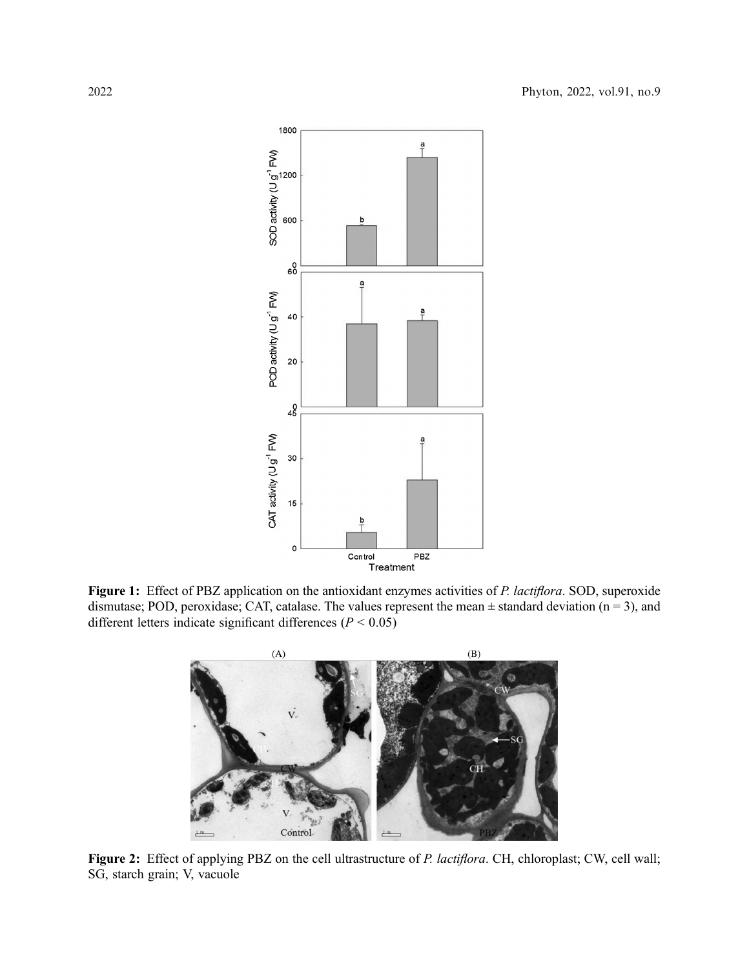<span id="page-5-0"></span>

<span id="page-5-1"></span>Figure 1: Effect of PBZ application on the antioxidant enzymes activities of P. lactiflora. SOD, superoxide dismutase; POD, peroxidase; CAT, catalase. The values represent the mean  $\pm$  standard deviation (n = 3), and different letters indicate significant differences ( $P < 0.05$ )



Figure 2: Effect of applying PBZ on the cell ultrastructure of P. lactiflora. CH, chloroplast; CW, cell wall; SG, starch grain; V, vacuole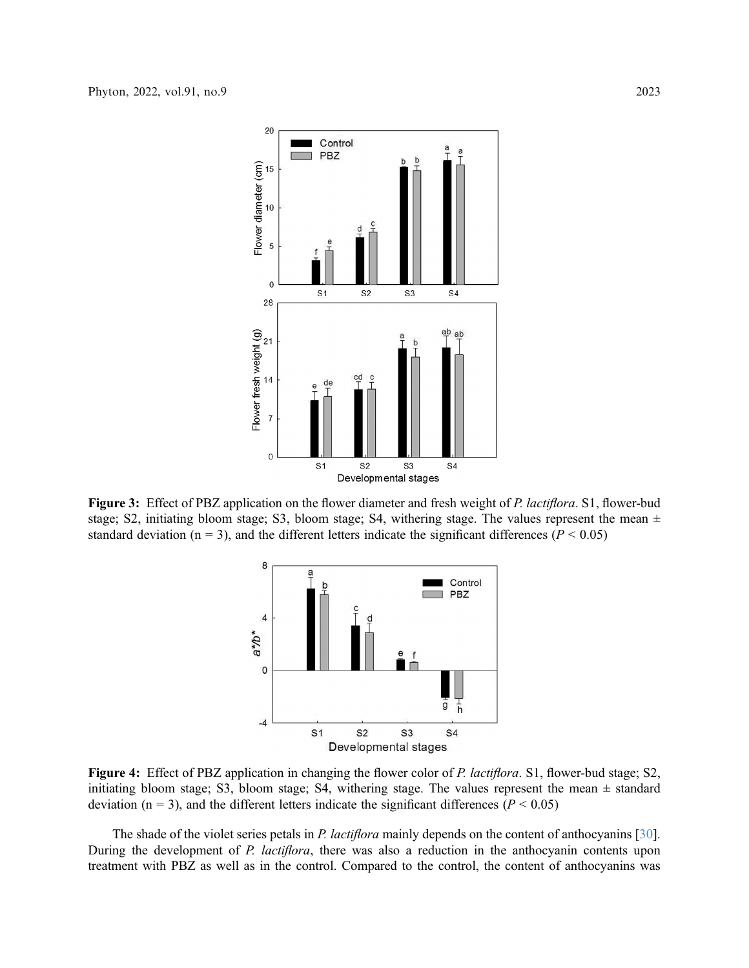<span id="page-6-0"></span>

<span id="page-6-1"></span>Figure 3: Effect of PBZ application on the flower diameter and fresh weight of P. lactiflora. S1, flower-bud stage; S2, initiating bloom stage; S3, bloom stage; S4, withering stage. The values represent the mean  $\pm$ standard deviation ( $n = 3$ ), and the different letters indicate the significant differences ( $P < 0.05$ )



Figure 4: Effect of PBZ application in changing the flower color of P. lactiflora. S1, flower-bud stage; S2, initiating bloom stage; S3, bloom stage; S4, withering stage. The values represent the mean  $\pm$  standard deviation ( $n = 3$ ), and the different letters indicate the significant differences ( $P < 0.05$ )

The shade of the violet series petals in P. *lactiflora* mainly depends on the content of anthocyanins [[30\]](#page-12-8). During the development of P. lactiflora, there was also a reduction in the anthocyanin contents upon treatment with PBZ as well as in the control. Compared to the control, the content of anthocyanins was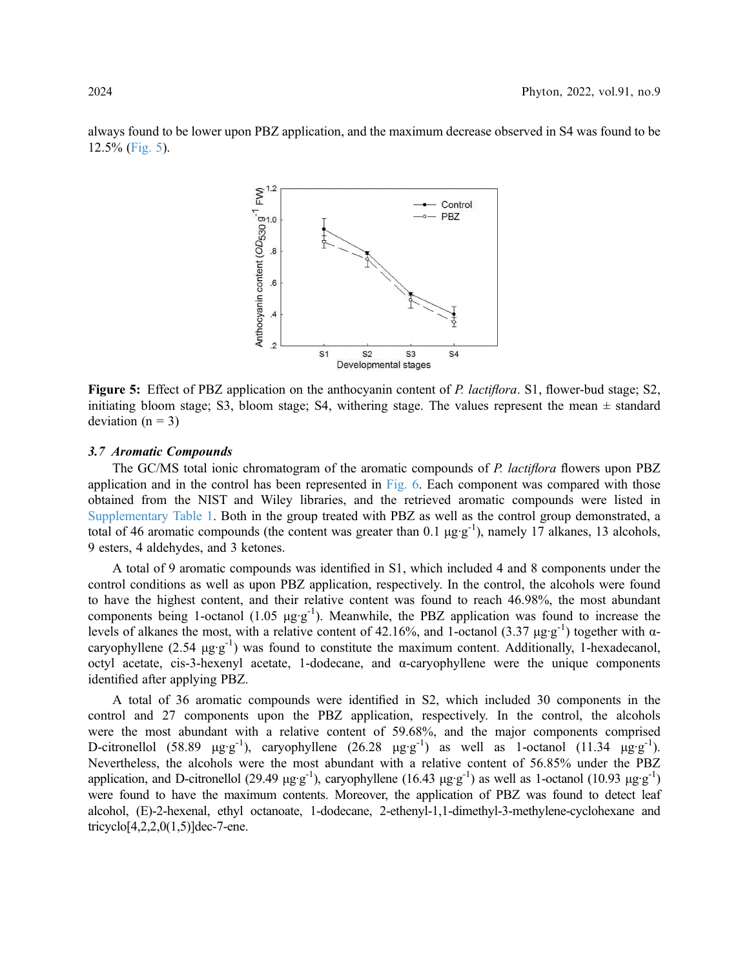<span id="page-7-0"></span>always found to be lower upon PBZ application, and the maximum decrease observed in S4 was found to be 12.5% ([Fig. 5\)](#page-7-0).



Figure 5: Effect of PBZ application on the anthocyanin content of P. lactiflora. S1, flower-bud stage; S2, initiating bloom stage; S3, bloom stage; S4, withering stage. The values represent the mean  $\pm$  standard deviation  $(n = 3)$ 

#### 3.7 Aromatic Compounds

The GC/MS total ionic chromatogram of the aromatic compounds of P. lactiflora flowers upon PBZ application and in the control has been represented in [Fig. 6.](#page-8-0) Each component was compared with those obtained from the NIST and Wiley libraries, and the retrieved aromatic compounds were listed in Supplementary Table 1. Both in the group treated with PBZ as well as the control group demonstrated, a total of 46 aromatic compounds (the content was greater than 0.1 μg·g<sup>-1</sup>), namely 17 alkanes, 13 alcohols, 9 esters, 4 aldehydes, and 3 ketones.

A total of 9 aromatic compounds was identified in S1, which included 4 and 8 components under the control conditions as well as upon PBZ application, respectively. In the control, the alcohols were found to have the highest content, and their relative content was found to reach 46.98%, the most abundant components being 1-octanol (1.05  $\mu$ g·g<sup>-1</sup>). Meanwhile, the PBZ application was found to increase the levels of alkanes the most, with a relative content of 42.16%, and 1-octanol (3.37 μg·g<sup>-1</sup>) together with αcaryophyllene (2.54  $\mu$ g·g<sup>-1</sup>) was found to constitute the maximum content. Additionally, 1-hexadecanol, octyl acetate, cis-3-hexenyl acetate, 1-dodecane, and  $\alpha$ -caryophyllene were the unique components identified after applying PBZ.

A total of 36 aromatic compounds were identified in S2, which included 30 components in the control and 27 components upon the PBZ application, respectively. In the control, the alcohols were the most abundant with a relative content of 59.68%, and the major components comprised D-citronellol (58.89 μg·g<sup>-1</sup>), caryophyllene (26.28 μg·g<sup>-1</sup>) as well as 1-octanol (11.34 μg·g<sup>-1</sup>). Nevertheless, the alcohols were the most abundant with a relative content of 56.85% under the PBZ application, and D-citronellol (29.49 μg·g<sup>-1</sup>), caryophyllene (16.43 μg·g<sup>-1</sup>) as well as 1-octanol (10.93 μg·g<sup>-1</sup>) were found to have the maximum contents. Moreover, the application of PBZ was found to detect leaf alcohol, (E)-2-hexenal, ethyl octanoate, 1-dodecane, 2-ethenyl-1,1-dimethyl-3-methylene-cyclohexane and tricyclo[4,2,2,0(1,5)]dec-7-ene.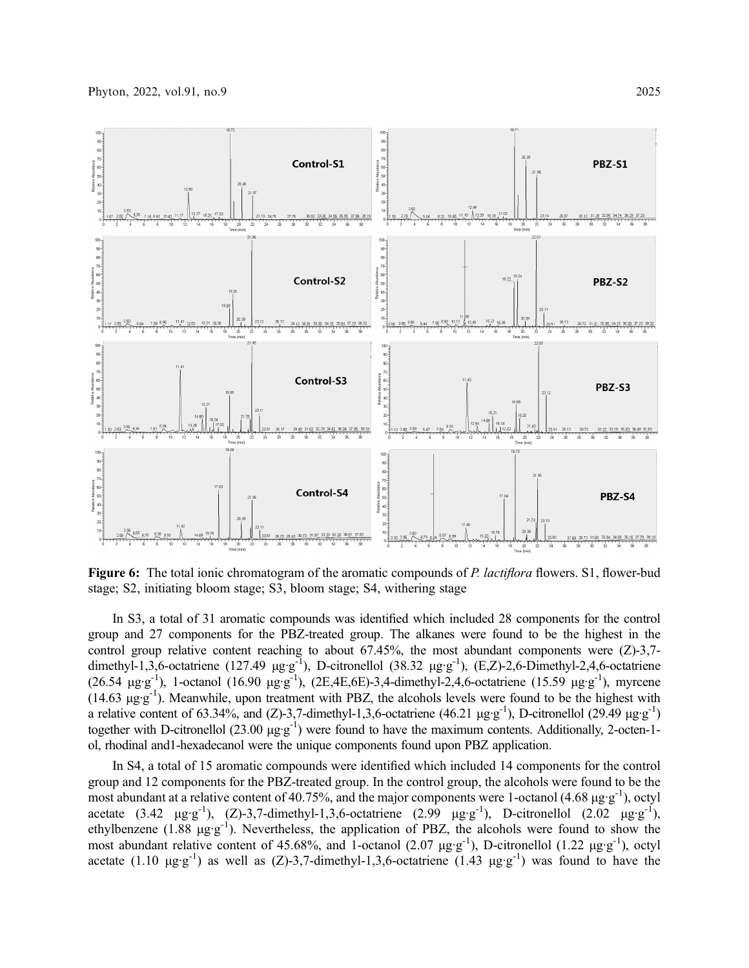<span id="page-8-0"></span>

**Figure 6:** The total ionic chromatogram of the aromatic compounds of P. *lactiflora* flowers. S1, flower-bud stage; S2, initiating bloom stage; S3, bloom stage; S4, withering stage

In S3, a total of 31 aromatic compounds was identified which included 28 components for the control group and 27 components for the PBZ-treated group. The alkanes were found to be the highest in the control group relative content reaching to about  $67.45\%$ , the most abundant components were  $(Z)$ -3,7dimethyl-1,3,6-octatriene (127.49  $\mu$ g·g<sup>-1</sup>), D-citronellol (38.32  $\mu$ g·g<sup>-1</sup>), (E,Z)-2,6-Dimethyl-2,4,6-octatriene (26.54 μg·g<sup>-1</sup>), 1-octanol (16.90 μg·g<sup>-1</sup>), (2E,4E,6E)-3,4-dimethyl-2,4,6-octatriene (15.59 μg·g<sup>-1</sup>), myrcene (14.63 μg·g-1). Meanwhile, upon treatment with PBZ, the alcohols levels were found to be the highest with a relative content of 63.34%, and (Z)-3,7-dimethyl-1,3,6-octatriene (46.21 μg·g<sup>-1</sup>), D-citronellol (29.49 μg·g<sup>-1</sup>) together with D-citronellol (23.00 μg·g<sup>-1</sup>) were found to have the maximum contents. Additionally, 2-octen-1ol, rhodinal and1-hexadecanol were the unique components found upon PBZ application.

In S4, a total of 15 aromatic compounds were identified which included 14 components for the control group and 12 components for the PBZ-treated group. In the control group, the alcohols were found to be the most abundant at a relative content of 40.75%, and the major components were 1-octanol (4.68  $\mu$ g·g<sup>-1</sup>), octyl acetate (3.42  $\mu$ g·g<sup>-1</sup>), (Z)-3,7-dimethyl-1,3,6-octatriene (2.99  $\mu$ g·g<sup>-1</sup>), D-citronellol (2.02  $\mu$ g·g<sup>-1</sup>), ethylbenzene (1.88  $\mu$ g·g<sup>-1</sup>). Nevertheless, the application of PBZ, the alcohols were found to show the most abundant relative content of 45.68%, and 1-octanol (2.07 μg·g<sup>-1</sup>), D-citronellol (1.22 μg·g<sup>-1</sup>), octyl acetate (1.10  $\mu$ g·g<sup>-1</sup>) as well as (Z)-3,7-dimethyl-1,3,6-octatriene (1.43  $\mu$ g·g<sup>-1</sup>) was found to have the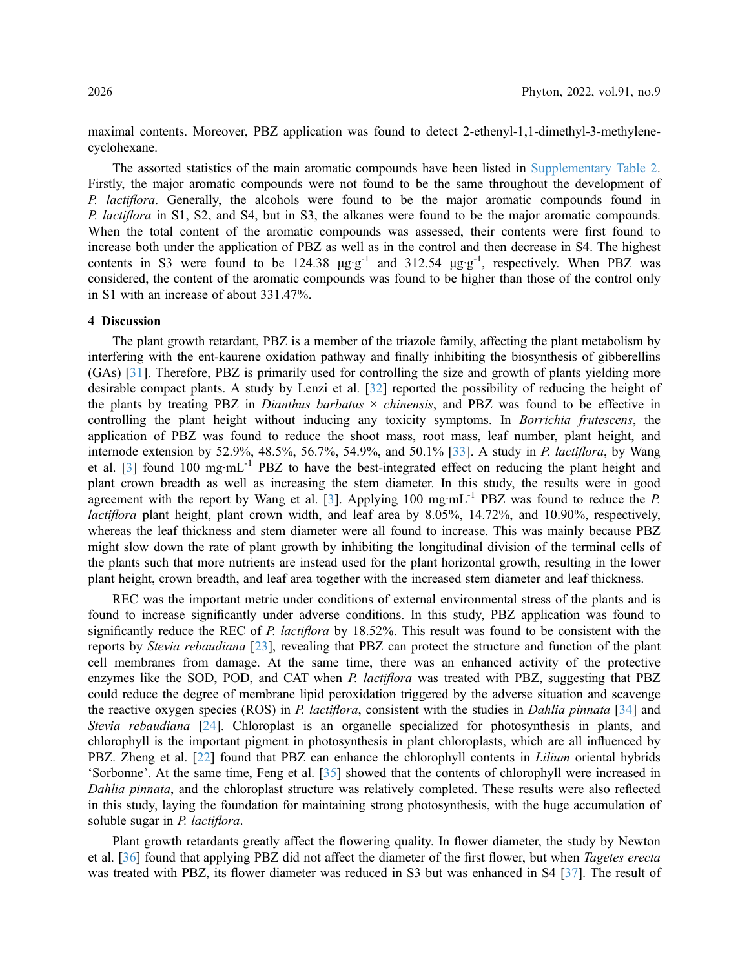maximal contents. Moreover, PBZ application was found to detect 2-ethenyl-1,1-dimethyl-3-methylenecyclohexane.

The assorted statistics of the main aromatic compounds have been listed in Supplementary Table 2. Firstly, the major aromatic compounds were not found to be the same throughout the development of P. *lactiflora*. Generally, the alcohols were found to be the major aromatic compounds found in P. *lactiflora* in S1, S2, and S4, but in S3, the alkanes were found to be the major aromatic compounds. When the total content of the aromatic compounds was assessed, their contents were first found to increase both under the application of PBZ as well as in the control and then decrease in S4. The highest contents in S3 were found to be  $124.38 \mu g \cdot g^{-1}$  and  $312.54 \mu g \cdot g^{-1}$ , respectively. When PBZ was considered, the content of the aromatic compounds was found to be higher than those of the control only in S1 with an increase of about 331.47%.

## 4 Discussion

The plant growth retardant, PBZ is a member of the triazole family, affecting the plant metabolism by interfering with the ent-kaurene oxidation pathway and finally inhibiting the biosynthesis of gibberellins (GAs) [\[31](#page-12-9)]. Therefore, PBZ is primarily used for controlling the size and growth of plants yielding more desirable compact plants. A study by Lenzi et al. [\[32](#page-12-10)] reported the possibility of reducing the height of the plants by treating PBZ in *Dianthus barbatus*  $\times$  *chinensis*, and PBZ was found to be effective in controlling the plant height without inducing any toxicity symptoms. In Borrichia frutescens, the application of PBZ was found to reduce the shoot mass, root mass, leaf number, plant height, and internode extension by 52.9%, 48.5%, 56.7%, 54.9%, and 50.1% [\[33](#page-12-11)]. A study in P. lactiflora, by Wang et al.  $\lceil 3 \rceil$  found 100 mg·mL<sup>-1</sup> PBZ to have the best-integrated effect on reducing the plant height and plant crown breadth as well as increasing the stem diameter. In this study, the results were in good agreement with the report by Wang et al. [\[3\]](#page-10-2). Applying 100 mg·mL<sup>-1</sup> PBZ was found to reduce the P. lactiflora plant height, plant crown width, and leaf area by 8.05%, 14.72%, and 10.90%, respectively, whereas the leaf thickness and stem diameter were all found to increase. This was mainly because PBZ might slow down the rate of plant growth by inhibiting the longitudinal division of the terminal cells of the plants such that more nutrients are instead used for the plant horizontal growth, resulting in the lower plant height, crown breadth, and leaf area together with the increased stem diameter and leaf thickness.

REC was the important metric under conditions of external environmental stress of the plants and is found to increase significantly under adverse conditions. In this study, PBZ application was found to significantly reduce the REC of P. *lactiflora* by 18.52%. This result was found to be consistent with the reports by Stevia rebaudiana [\[23](#page-12-1)], revealing that PBZ can protect the structure and function of the plant cell membranes from damage. At the same time, there was an enhanced activity of the protective enzymes like the SOD, POD, and CAT when P. lactiflora was treated with PBZ, suggesting that PBZ could reduce the degree of membrane lipid peroxidation triggered by the adverse situation and scavenge the reactive oxygen species (ROS) in P. lactiflora, consistent with the studies in Dahlia pinnata [\[34](#page-12-12)] and Stevia rebaudiana [\[24\]](#page-12-2). Chloroplast is an organelle specialized for photosynthesis in plants, and chlorophyll is the important pigment in photosynthesis in plant chloroplasts, which are all influenced by PBZ. Zheng et al. [\[22](#page-12-0)] found that PBZ can enhance the chlorophyll contents in *Lilium* oriental hybrids 'Sorbonne'. At the same time, Feng et al. [[35](#page-12-13)] showed that the contents of chlorophyll were increased in Dahlia pinnata, and the chloroplast structure was relatively completed. These results were also reflected in this study, laying the foundation for maintaining strong photosynthesis, with the huge accumulation of soluble sugar in *P. lactiflora*.

Plant growth retardants greatly affect the flowering quality. In flower diameter, the study by Newton et al. [\[36](#page-12-14)] found that applying PBZ did not affect the diameter of the first flower, but when Tagetes erecta was treated with PBZ, its flower diameter was reduced in S3 but was enhanced in S4 [[37\]](#page-12-15). The result of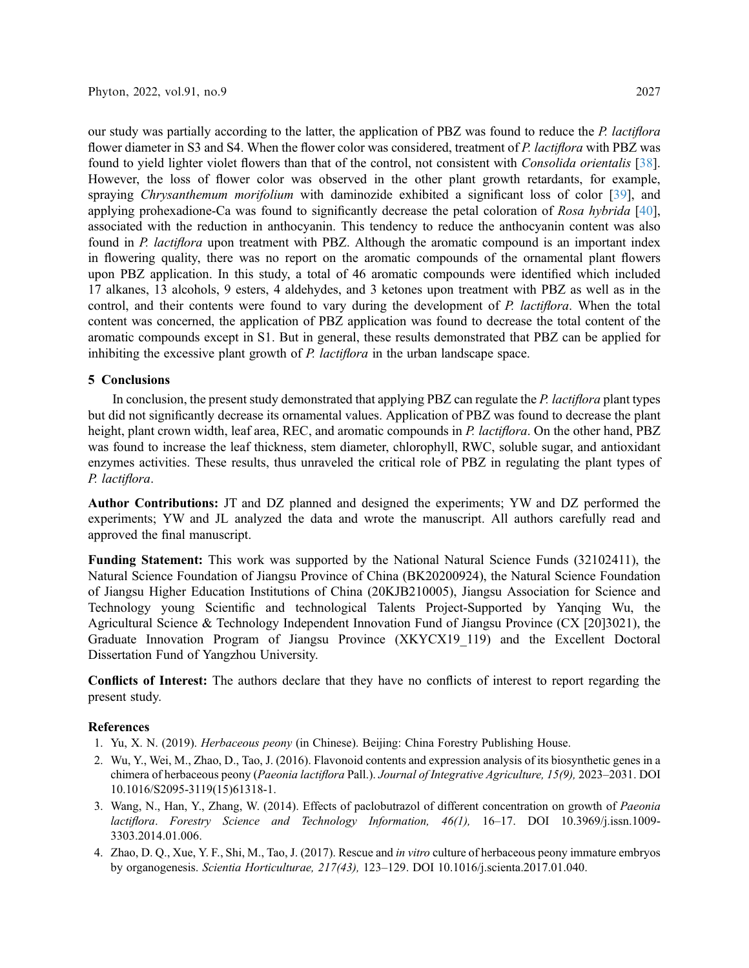our study was partially according to the latter, the application of PBZ was found to reduce the P. lactiflora flower diameter in S3 and S4. When the flower color was considered, treatment of P. lactiflora with PBZ was found to yield lighter violet flowers than that of the control, not consistent with Consolida orientalis [[38\]](#page-12-16). However, the loss of flower color was observed in the other plant growth retardants, for example, spraying Chrysanthemum morifolium with daminozide exhibited a significant loss of color [[39\]](#page-12-17), and applying prohexadione-Ca was found to significantly decrease the petal coloration of Rosa hybrida [[40\]](#page-12-18), associated with the reduction in anthocyanin. This tendency to reduce the anthocyanin content was also found in P. lactiflora upon treatment with PBZ. Although the aromatic compound is an important index in flowering quality, there was no report on the aromatic compounds of the ornamental plant flowers upon PBZ application. In this study, a total of 46 aromatic compounds were identified which included 17 alkanes, 13 alcohols, 9 esters, 4 aldehydes, and 3 ketones upon treatment with PBZ as well as in the control, and their contents were found to vary during the development of P. lactiflora. When the total content was concerned, the application of PBZ application was found to decrease the total content of the aromatic compounds except in S1. But in general, these results demonstrated that PBZ can be applied for inhibiting the excessive plant growth of P. lactiflora in the urban landscape space.

# 5 Conclusions

In conclusion, the present study demonstrated that applying PBZ can regulate the P. lactiflora plant types but did not significantly decrease its ornamental values. Application of PBZ was found to decrease the plant height, plant crown width, leaf area, REC, and aromatic compounds in P. lactiflora. On the other hand, PBZ was found to increase the leaf thickness, stem diameter, chlorophyll, RWC, soluble sugar, and antioxidant enzymes activities. These results, thus unraveled the critical role of PBZ in regulating the plant types of P. lactiflora.

Author Contributions: JT and DZ planned and designed the experiments; YW and DZ performed the experiments; YW and JL analyzed the data and wrote the manuscript. All authors carefully read and approved the final manuscript.

Funding Statement: This work was supported by the National Natural Science Funds (32102411), the Natural Science Foundation of Jiangsu Province of China (BK20200924), the Natural Science Foundation of Jiangsu Higher Education Institutions of China (20KJB210005), Jiangsu Association for Science and Technology young Scientific and technological Talents Project-Supported by Yanqing Wu, the Agricultural Science & Technology Independent Innovation Fund of Jiangsu Province (CX [20]3021), the Graduate Innovation Program of Jiangsu Province (XKYCX19\_119) and the Excellent Doctoral Dissertation Fund of Yangzhou University.

Conflicts of Interest: The authors declare that they have no conflicts of interest to report regarding the present study.

## References

- <span id="page-10-0"></span>1. Yu, X. N. (2019). Herbaceous peony (in Chinese). Beijing: China Forestry Publishing House.
- <span id="page-10-1"></span>2. Wu, Y., Wei, M., Zhao, D., Tao, J. (2016). Flavonoid contents and expression analysis of its biosynthetic genes in a chimera of herbaceous peony (Paeonia lactiflora Pall.). Journal of Integrative Agriculture, 15(9), 2023–2031. DOI [10.1016/S2095-3119\(15\)61318-1.](http://dx.doi.org/10.1016/S2095-3119(15)61318-1)
- <span id="page-10-2"></span>3. Wang, N., Han, Y., Zhang, W. (2014). Effects of paclobutrazol of different concentration on growth of Paeonia lactiflora. Forestry Science and Technology Information, 46(1), 16–17. DOI [10.3969/j.issn.1009-](http://dx.doi.org/10.3969/j.issn.1009-3303.2014.01.006) [3303.2014.01.006.](http://dx.doi.org/10.3969/j.issn.1009-3303.2014.01.006)
- <span id="page-10-3"></span>4. Zhao, D. Q., Xue, Y. F., Shi, M., Tao, J. (2017). Rescue and in vitro culture of herbaceous peony immature embryos by organogenesis. Scientia Horticulturae, 217(43), 123–129. DOI [10.1016/j.scienta.2017.01.040](http://dx.doi.org/10.1016/j.scienta.2017.01.040).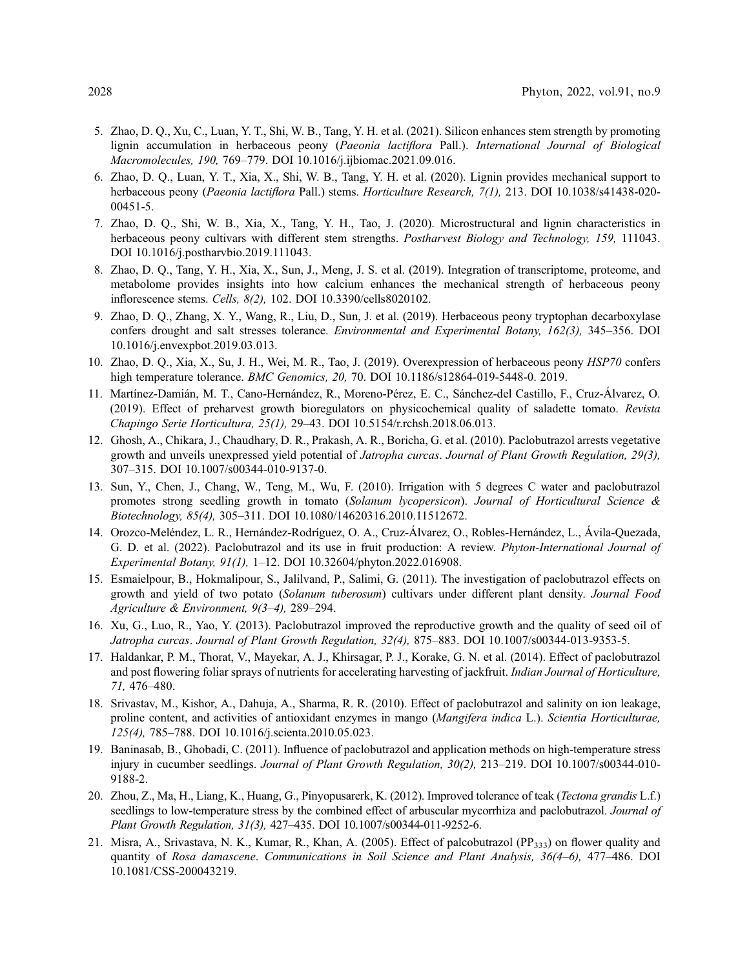- <span id="page-11-0"></span>5. Zhao, D. Q., Xu, C., Luan, Y. T., Shi, W. B., Tang, Y. H. et al. (2021). Silicon enhances stem strength by promoting lignin accumulation in herbaceous peony (Paeonia lactiflora Pall.). International Journal of Biological Macromolecules, 190, 769–779. DOI [10.1016/j.ijbiomac.2021.09.016](http://dx.doi.org/10.1016/j.ijbiomac.2021.09.016).
- 6. Zhao, D. Q., Luan, Y. T., Xia, X., Shi, W. B., Tang, Y. H. et al. (2020). Lignin provides mechanical support to herbaceous peony (Paeonia lactiflora Pall.) stems. Horticulture Research, 7(1), 213. DOI [10.1038/s41438-020-](http://dx.doi.org/10.1038/s41438-020-00451-5) [00451-5.](http://dx.doi.org/10.1038/s41438-020-00451-5)
- 7. Zhao, D. Q., Shi, W. B., Xia, X., Tang, Y. H., Tao, J. (2020). Microstructural and lignin characteristics in herbaceous peony cultivars with different stem strengths. Postharvest Biology and Technology, 159, 111043. DOI [10.1016/j.postharvbio.2019.111043](http://dx.doi.org/10.1016/j.postharvbio.2019.111043).
- <span id="page-11-1"></span>8. Zhao, D. Q., Tang, Y. H., Xia, X., Sun, J., Meng, J. S. et al. (2019). Integration of transcriptome, proteome, and metabolome provides insights into how calcium enhances the mechanical strength of herbaceous peony inflorescence stems. Cells, 8(2), 102. DOI [10.3390/cells8020102](http://dx.doi.org/10.3390/cells8020102).
- <span id="page-11-2"></span>9. Zhao, D. Q., Zhang, X. Y., Wang, R., Liu, D., Sun, J. et al. (2019). Herbaceous peony tryptophan decarboxylase confers drought and salt stresses tolerance. Environmental and Experimental Botany, 162(3), 345–356. DOI [10.1016/j.envexpbot.2019.03.013.](http://dx.doi.org/10.1016/j.envexpbot.2019.03.013)
- <span id="page-11-3"></span>10. Zhao, D. Q., Xia, X., Su, J. H., Wei, M. R., Tao, J. (2019). Overexpression of herbaceous peony HSP70 confers high temperature tolerance. BMC Genomics, 20, 70. DOI [10.1186/s12864-019-5448-0. 2019.](http://dx.doi.org/10.1186/s12864-019-5448-0. 2019)
- <span id="page-11-4"></span>11. Martínez-Damián, M. T., Cano-Hernández, R., Moreno-Pérez, E. C., Sánchez-del Castillo, F., Cruz-Álvarez, O. (2019). Effect of preharvest growth bioregulators on physicochemical quality of saladette tomato. Revista Chapingo Serie Horticultura, 25(1), 29–43. DOI [10.5154/r.rchsh.2018.06.013](http://dx.doi.org/10.5154/r.rchsh.2018.06.013).
- <span id="page-11-5"></span>12. Ghosh, A., Chikara, J., Chaudhary, D. R., Prakash, A. R., Boricha, G. et al. (2010). Paclobutrazol arrests vegetative growth and unveils unexpressed yield potential of Jatropha curcas. Journal of Plant Growth Regulation, 29(3), 307–315. DOI [10.1007/s00344-010-9137-0.](http://dx.doi.org/10.1007/s00344-010-9137-0)
- 13. Sun, Y., Chen, J., Chang, W., Teng, M., Wu, F. (2010). Irrigation with 5 degrees C water and paclobutrazol promotes strong seedling growth in tomato (Solanum lycopersicon). Journal of Horticultural Science & Biotechnology, 85(4), 305–311. DOI [10.1080/14620316.2010.11512672.](http://dx.doi.org/10.1080/14620316.2010.11512672)
- <span id="page-11-6"></span>14. Orozco-Meléndez, L. R., Hernández-Rodríguez, O. A., Cruz-Álvarez, O., Robles-Hernández, L., Ávila-Quezada, G. D. et al. (2022). Paclobutrazol and its use in fruit production: A review. Phyton-International Journal of Experimental Botany, 91(1), 1–12. DOI [10.32604/phyton.2022.016908](http://dx.doi.org/10.32604/phyton.2022.016908).
- <span id="page-11-7"></span>15. Esmaielpour, B., Hokmalipour, S., Jalilvand, P., Salimi, G. (2011). The investigation of paclobutrazol effects on growth and yield of two potato (Solanum tuberosum) cultivars under different plant density. Journal Food Agriculture & Environment, 9(3–4), 289–294.
- 16. Xu, G., Luo, R., Yao, Y. (2013). Paclobutrazol improved the reproductive growth and the quality of seed oil of Jatropha curcas. Journal of Plant Growth Regulation, 32(4), 875–883. DOI [10.1007/s00344-013-9353-5.](http://dx.doi.org/10.1007/s00344-013-9353-5)
- <span id="page-11-8"></span>17. Haldankar, P. M., Thorat, V., Mayekar, A. J., Khirsagar, P. J., Korake, G. N. et al. (2014). Effect of paclobutrazol and post flowering foliar sprays of nutrients for accelerating harvesting of jackfruit. Indian Journal of Horticulture, 71, 476–480.
- <span id="page-11-9"></span>18. Srivastav, M., Kishor, A., Dahuja, A., Sharma, R. R. (2010). Effect of paclobutrazol and salinity on ion leakage, proline content, and activities of antioxidant enzymes in mango (Mangifera indica L.). Scientia Horticulturae, 125(4), 785–788. DOI [10.1016/j.scienta.2010.05.023](http://dx.doi.org/10.1016/j.scienta.2010.05.023).
- 19. Baninasab, B., Ghobadi, C. (2011). Influence of paclobutrazol and application methods on high-temperature stress injury in cucumber seedlings. Journal of Plant Growth Regulation, 30(2), 213–219. DOI [10.1007/s00344-010-](http://dx.doi.org/10.1007/s00344-010-9188-2) [9188-2.](http://dx.doi.org/10.1007/s00344-010-9188-2)
- <span id="page-11-10"></span>20. Zhou, Z., Ma, H., Liang, K., Huang, G., Pinyopusarerk, K. (2012). Improved tolerance of teak (*Tectona grandis* L.f.) seedlings to low-temperature stress by the combined effect of arbuscular mycorrhiza and paclobutrazol. Journal of Plant Growth Regulation, 31(3), 427–435. DOI [10.1007/s00344-011-9252-6.](http://dx.doi.org/10.1007/s00344-011-9252-6)
- <span id="page-11-11"></span>21. Misra, A., Srivastava, N. K., Kumar, R., Khan, A. (2005). Effect of palcobutrazol (PP<sub>333</sub>) on flower quality and quantity of Rosa damascene. Communications in Soil Science and Plant Analysis, 36(4–6), 477–486. DOI [10.1081/CSS-200043219](http://dx.doi.org/10.1081/CSS-200043219).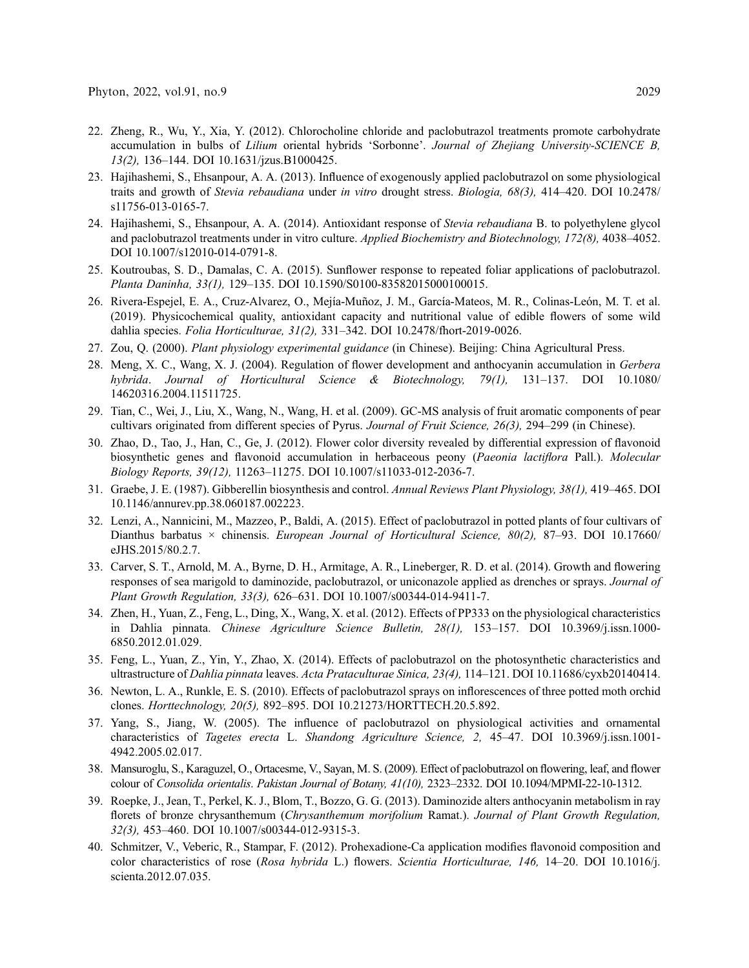- <span id="page-12-0"></span>22. Zheng, R., Wu, Y., Xia, Y. (2012). Chlorocholine chloride and paclobutrazol treatments promote carbohydrate accumulation in bulbs of Lilium oriental hybrids 'Sorbonne'. Journal of Zhejiang University-SCIENCE B, 13(2), 136–144. DOI [10.1631/jzus.B1000425](http://dx.doi.org/10.1631/jzus.B1000425).
- <span id="page-12-1"></span>23. Hajihashemi, S., Ehsanpour, A. A. (2013). Influence of exogenously applied paclobutrazol on some physiological traits and growth of Stevia rebaudiana under in vitro drought stress. Biologia, 68(3), 414–420. DOI [10.2478/](http://dx.doi.org/10.2478/s11756-013-0165-7) [s11756-013-0165-7.](http://dx.doi.org/10.2478/s11756-013-0165-7)
- <span id="page-12-2"></span>24. Hajihashemi, S., Ehsanpour, A. A. (2014). Antioxidant response of Stevia rebaudiana B. to polyethylene glycol and paclobutrazol treatments under in vitro culture. Applied Biochemistry and Biotechnology, 172(8), 4038–4052. DOI [10.1007/s12010-014-0791-8.](http://dx.doi.org/10.1007/s12010-014-0791-8)
- <span id="page-12-3"></span>25. Koutroubas, S. D., Damalas, C. A. (2015). Sunflower response to repeated foliar applications of paclobutrazol. Planta Daninha, 33(1), 129–135. DOI [10.1590/S0100-83582015000100015.](http://dx.doi.org/10.1590/S0100-83582015000100015)
- <span id="page-12-4"></span>26. Rivera-Espejel, E. A., Cruz-Alvarez, O., Mejía-Muñoz, J. M., García-Mateos, M. R., Colinas-León, M. T. et al. (2019). Physicochemical quality, antioxidant capacity and nutritional value of edible flowers of some wild dahlia species. Folia Horticulturae, 31(2), 331–342. DOI [10.2478/fhort-2019-0026](http://dx.doi.org/10.2478/fhort-2019-0026).
- <span id="page-12-5"></span>27. Zou, Q. (2000). Plant physiology experimental guidance (in Chinese). Beijing: China Agricultural Press.
- <span id="page-12-6"></span>28. Meng, X. C., Wang, X. J. (2004). Regulation of flower development and anthocyanin accumulation in Gerbera hybrida. Journal of Horticultural Science & Biotechnology, 79(1), 131–137. DOI [10.1080/](http://dx.doi.org/10.1080/14620316.2004.11511725) [14620316.2004.11511725.](http://dx.doi.org/10.1080/14620316.2004.11511725)
- <span id="page-12-7"></span>29. Tian, C., Wei, J., Liu, X., Wang, N., Wang, H. et al. (2009). GC-MS analysis of fruit aromatic components of pear cultivars originated from different species of Pyrus. Journal of Fruit Science, 26(3), 294–299 (in Chinese).
- <span id="page-12-8"></span>30. Zhao, D., Tao, J., Han, C., Ge, J. (2012). Flower color diversity revealed by differential expression of flavonoid biosynthetic genes and flavonoid accumulation in herbaceous peony (Paeonia lactiflora Pall.). Molecular Biology Reports, 39(12), 11263–11275. DOI [10.1007/s11033-012-2036-7.](http://dx.doi.org/10.1007/s11033-012-2036-7)
- <span id="page-12-9"></span>31. Graebe, J. E. (1987). Gibberellin biosynthesis and control. Annual Reviews Plant Physiology, 38(1), 419–465. DOI [10.1146/annurev.pp.38.060187.002223](http://dx.doi.org/10.1146/annurev.pp.38.060187.002223).
- <span id="page-12-10"></span>32. Lenzi, A., Nannicini, M., Mazzeo, P., Baldi, A. (2015). Effect of paclobutrazol in potted plants of four cultivars of Dianthus barbatus  $\times$  chinensis. European Journal of Horticultural Science, 80(2), 87–93. DOI [10.17660/](http://dx.doi.org/10.17660/eJHS.2015/80.2.7) [eJHS.2015/80.2.7](http://dx.doi.org/10.17660/eJHS.2015/80.2.7).
- <span id="page-12-11"></span>33. Carver, S. T., Arnold, M. A., Byrne, D. H., Armitage, A. R., Lineberger, R. D. et al. (2014). Growth and flowering responses of sea marigold to daminozide, paclobutrazol, or uniconazole applied as drenches or sprays. Journal of Plant Growth Regulation, 33(3), 626–631. DOI [10.1007/s00344-014-9411-7.](http://dx.doi.org/10.1007/s00344-014-9411-7)
- <span id="page-12-12"></span>34. Zhen, H., Yuan, Z., Feng, L., Ding, X., Wang, X. et al. (2012). Effects of PP333 on the physiological characteristics in Dahlia pinnata. Chinese Agriculture Science Bulletin, 28(1), 153–157. DOI [10.3969/j.issn.1000-](http://dx.doi.org/10.3969/j.issn.1000-6850.2012.01.029) [6850.2012.01.029.](http://dx.doi.org/10.3969/j.issn.1000-6850.2012.01.029)
- <span id="page-12-13"></span>35. Feng, L., Yuan, Z., Yin, Y., Zhao, X. (2014). Effects of paclobutrazol on the photosynthetic characteristics and ultrastructure of Dahlia pinnata leaves. Acta Prataculturae Sinica, 23(4), 114–121. DOI [10.11686/cyxb20140414.](http://dx.doi.org/10.11686/cyxb20140414)
- <span id="page-12-14"></span>36. Newton, L. A., Runkle, E. S. (2010). Effects of paclobutrazol sprays on inflorescences of three potted moth orchid clones. Horttechnology, 20(5), 892–895. DOI [10.21273/HORTTECH.20.5.892](http://dx.doi.org/10.21273/HORTTECH.20.5.892).
- <span id="page-12-15"></span>37. Yang, S., Jiang, W. (2005). The influence of paclobutrazol on physiological activities and ornamental characteristics of Tagetes erecta L. Shandong Agriculture Science, 2, 45–47. DOI [10.3969/j.issn.1001-](http://dx.doi.org/10.3969/j.issn.1001-4942.2005.02.017) [4942.2005.02.017.](http://dx.doi.org/10.3969/j.issn.1001-4942.2005.02.017)
- <span id="page-12-16"></span>38. Mansuroglu, S., Karaguzel, O., Ortacesme, V., Sayan, M. S. (2009). Effect of paclobutrazol on flowering, leaf, and flower colour of Consolida orientalis. Pakistan Journal of Botany, 41(10), 2323–2332. DOI [10.1094/MPMI-22-10-1312.](http://dx.doi.org/10.1094/MPMI-22-10-1312)
- <span id="page-12-17"></span>39. Roepke, J., Jean, T., Perkel, K. J., Blom, T., Bozzo, G. G. (2013). Daminozide alters anthocyanin metabolism in ray florets of bronze chrysanthemum (Chrysanthemum morifolium Ramat.). Journal of Plant Growth Regulation, 32(3), 453–460. DOI [10.1007/s00344-012-9315-3.](http://dx.doi.org/10.1007/s00344-012-9315-3)
- <span id="page-12-18"></span>40. Schmitzer, V., Veberic, R., Stampar, F. (2012). Prohexadione-Ca application modifies flavonoid composition and color characteristics of rose (Rosa hybrida L.) flowers. Scientia Horticulturae, 146, 14–20. DOI [10.1016/j.](http://dx.doi.org/10.1016/j.scienta.2012.07.035) [scienta.2012.07.035](http://dx.doi.org/10.1016/j.scienta.2012.07.035).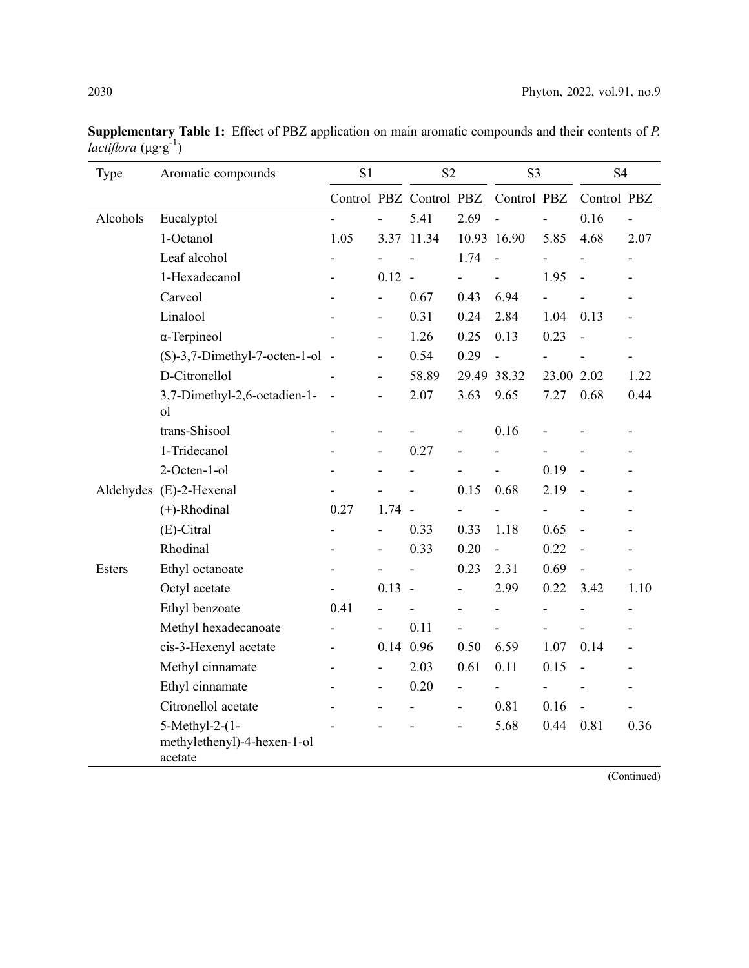| Type     | Aromatic compounds                                       | S1   |                | S <sub>2</sub>           |                          | S <sub>3</sub> |                          | <b>S4</b>      |                |
|----------|----------------------------------------------------------|------|----------------|--------------------------|--------------------------|----------------|--------------------------|----------------|----------------|
|          |                                                          |      |                | Control PBZ Control PBZ  |                          | Control PBZ    |                          | Control PBZ    |                |
| Alcohols | Eucalyptol                                               |      |                | 5.41                     | 2.69                     | $\overline{a}$ | $\overline{a}$           | 0.16           | $\overline{a}$ |
|          | 1-Octanol                                                | 1.05 |                | 3.37 11.34               |                          | 10.93 16.90    | 5.85                     | 4.68           | 2.07           |
|          | Leaf alcohol                                             |      |                |                          | 1.74                     | $\overline{a}$ |                          |                |                |
|          | 1-Hexadecanol                                            |      | $0.12 -$       |                          | $\overline{\phantom{0}}$ | ÷,             | 1.95                     |                |                |
|          | Carveol                                                  |      |                | 0.67                     | 0.43                     | 6.94           |                          |                |                |
|          | Linalool                                                 |      | Ĭ.             | 0.31                     | 0.24                     | 2.84           | 1.04                     | 0.13           |                |
|          | $\alpha$ -Terpineol                                      |      | L,             | 1.26                     | 0.25                     | 0.13           | 0.23                     |                |                |
|          | $(S)-3,7$ -Dimethyl-7-octen-1-ol -                       |      | -              | 0.54                     | 0.29                     | $\overline{a}$ |                          |                | L              |
|          | D-Citronellol                                            |      | $\overline{a}$ | 58.89                    |                          | 29.49 38.32    | 23.00 2.02               |                | 1.22           |
|          | 3,7-Dimethyl-2,6-octadien-1-<br><sub>o</sub> l           |      | -              | 2.07                     | 3.63                     | 9.65           | 7.27                     | 0.68           | 0.44           |
|          | trans-Shisool                                            |      | ۰              |                          | $\overline{a}$           | 0.16           |                          |                |                |
|          | 1-Tridecanol                                             |      | $\overline{a}$ | 0.27                     |                          |                |                          |                |                |
|          | 2-Octen-1-ol                                             |      |                |                          |                          |                | 0.19                     |                |                |
|          | Aldehydes (E)-2-Hexenal                                  |      |                |                          | 0.15                     | 0.68           | 2.19                     |                |                |
|          | $(+)$ -Rhodinal                                          | 0.27 | $1.74 -$       |                          |                          |                |                          |                |                |
|          | (E)-Citral                                               |      | $\overline{a}$ | 0.33                     | 0.33                     | 1.18           | 0.65                     |                |                |
|          | Rhodinal                                                 |      | -              | 0.33                     | 0.20                     | L,             | 0.22                     |                |                |
| Esters   | Ethyl octanoate                                          |      |                | $\overline{\phantom{a}}$ | 0.23                     | 2.31           | 0.69                     | ÷,             | $\overline{a}$ |
|          | Octyl acetate                                            |      | $0.13 -$       |                          |                          | 2.99           | 0.22                     | 3.42           | 1.10           |
|          | Ethyl benzoate                                           | 0.41 |                |                          |                          | ÷,             | $\overline{\phantom{0}}$ |                |                |
|          | Methyl hexadecanoate                                     |      |                | 0.11                     |                          |                |                          |                |                |
|          | cis-3-Hexenyl acetate                                    |      |                | 0.14 0.96                | 0.50                     | 6.59           | 1.07                     | 0.14           |                |
|          | Methyl cinnamate                                         |      | $\overline{a}$ | 2.03                     | 0.61                     | 0.11           | 0.15                     | $\overline{a}$ |                |
|          | Ethyl cinnamate                                          |      | $\overline{a}$ | 0.20                     |                          |                |                          |                |                |
|          | Citronellol acetate                                      |      | $\overline{a}$ | $\overline{\phantom{0}}$ | $\overline{\phantom{0}}$ | 0.81           | 0.16                     |                |                |
|          | 5-Methyl-2-(1-<br>methylethenyl)-4-hexen-1-ol<br>acetate |      |                |                          |                          | 5.68           | 0.44                     | 0.81           | 0.36           |

Supplementary Table 1: Effect of PBZ application on main aromatic compounds and their contents of P. lactiflora  $(\mu g \cdot g^{-1})$ 

(Continued)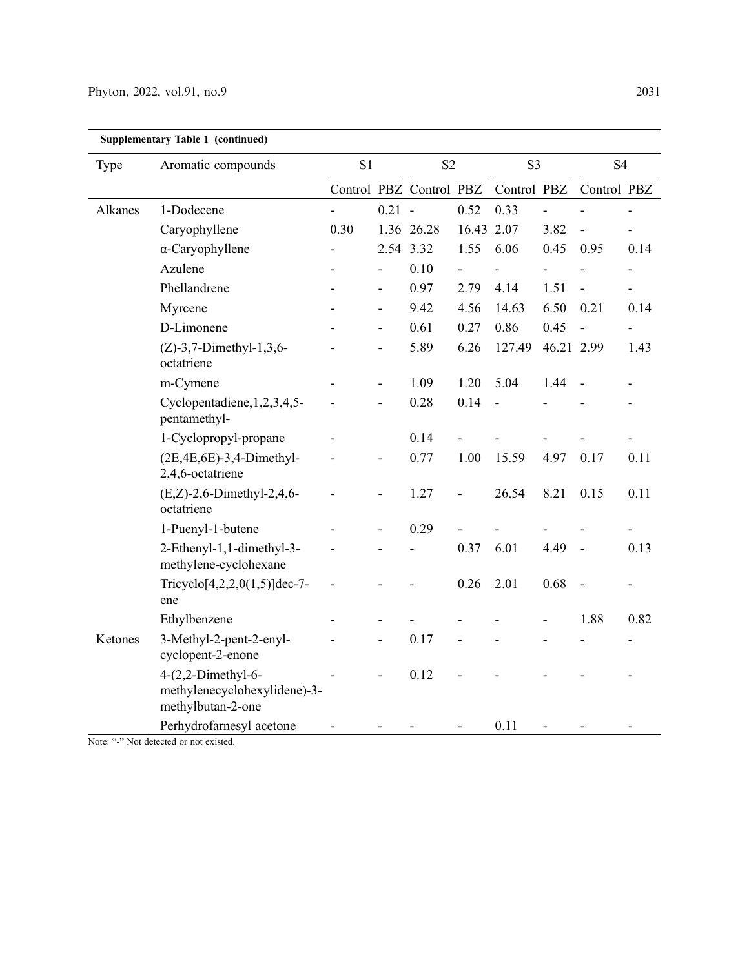| <b>Supplementary Table 1 (continued)</b> |                                                                           |                |          |                         |            |                |            |                          |                          |
|------------------------------------------|---------------------------------------------------------------------------|----------------|----------|-------------------------|------------|----------------|------------|--------------------------|--------------------------|
| Type                                     | Aromatic compounds                                                        | S <sub>1</sub> |          | S <sub>2</sub>          |            | S <sub>3</sub> |            | S <sub>4</sub>           |                          |
|                                          |                                                                           |                |          | Control PBZ Control PBZ |            | Control PBZ    |            | Control PBZ              |                          |
| Alkanes                                  | 1-Dodecene                                                                |                | $0.21 -$ |                         | 0.52       | 0.33           |            |                          |                          |
|                                          | Caryophyllene                                                             | 0.30           |          | 1.36 26.28              | 16.43 2.07 |                | 3.82       |                          | $\overline{\phantom{0}}$ |
|                                          | $\alpha$ -Caryophyllene                                                   |                |          | 2.54 3.32               | 1.55       | 6.06           | 0.45       | 0.95                     | 0.14                     |
|                                          | Azulene                                                                   |                |          | 0.10                    |            |                |            |                          |                          |
|                                          | Phellandrene                                                              |                |          | 0.97                    | 2.79       | 4.14           | 1.51       | $\overline{\phantom{a}}$ |                          |
|                                          | Myrcene                                                                   |                | -        | 9.42                    | 4.56       | 14.63          | 6.50       | 0.21                     | 0.14                     |
|                                          | D-Limonene                                                                |                | ÷,       | 0.61                    | 0.27       | 0.86           | 0.45       |                          |                          |
|                                          | $(Z)$ -3,7-Dimethyl-1,3,6-<br>octatriene                                  |                |          | 5.89                    | 6.26       | 127.49         | 46.21 2.99 |                          | 1.43                     |
|                                          | m-Cymene                                                                  |                | -        | 1.09                    | 1.20       | 5.04           | 1.44       |                          |                          |
|                                          | Cyclopentadiene, 1, 2, 3, 4, 5-<br>pentamethyl-                           |                | -        | 0.28                    | 0.14       |                |            |                          |                          |
|                                          | 1-Cyclopropyl-propane                                                     |                |          | 0.14                    |            |                |            |                          |                          |
|                                          | $(2E,4E,6E)$ -3,4-Dimethyl-<br>2,4,6-octatriene                           |                |          | 0.77                    | 1.00       | 15.59          | 4.97       | 0.17                     | 0.11                     |
|                                          | $(E,Z)$ -2,6-Dimethyl-2,4,6-<br>octatriene                                |                |          | 1.27                    |            | 26.54          | 8.21       | 0.15                     | 0.11                     |
|                                          | 1-Puenyl-1-butene                                                         |                |          | 0.29                    |            |                |            |                          |                          |
|                                          | 2-Ethenyl-1,1-dimethyl-3-<br>methylene-cyclohexane                        |                |          |                         | 0.37       | 6.01           | 4.49       |                          | 0.13                     |
|                                          | Tricyclo $[4,2,2,0(1,5)]$ dec-7-<br>ene                                   |                |          |                         | 0.26       | 2.01           | 0.68       |                          |                          |
|                                          | Ethylbenzene                                                              |                |          |                         |            |                |            | 1.88                     | 0.82                     |
| Ketones                                  | 3-Methyl-2-pent-2-enyl-<br>cyclopent-2-enone                              |                |          | 0.17                    |            |                |            |                          |                          |
|                                          | $4-(2,2-Dimethyl-6-$<br>methylenecyclohexylidene)-3-<br>methylbutan-2-one |                |          | 0.12                    |            |                |            |                          |                          |
|                                          | Perhydrofarnesyl acetone                                                  |                |          |                         |            | 0.11           |            |                          |                          |

Note: "-" Not detected or not existed.